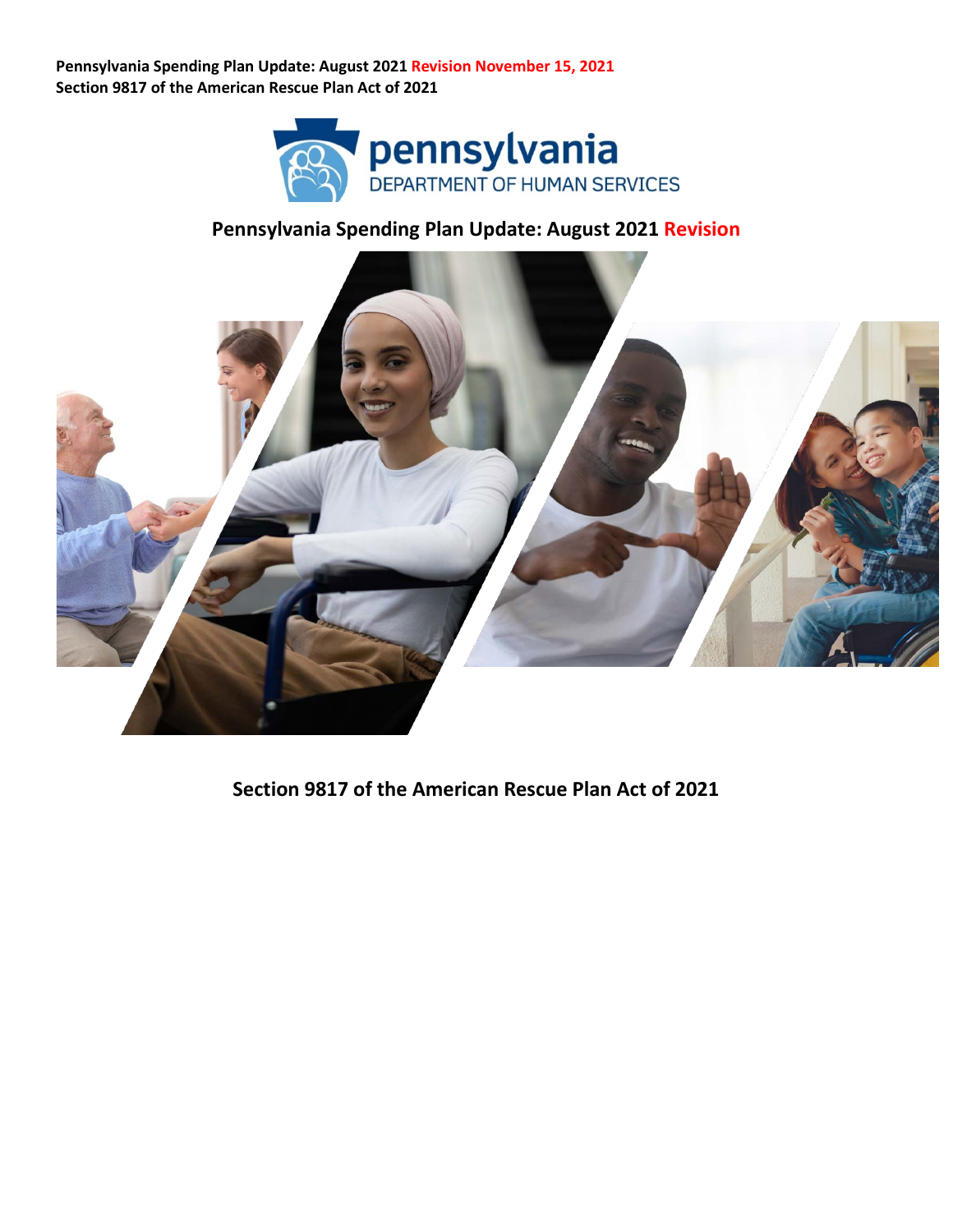

### **Pennsylvania Spending Plan Update: August 2021 Revision**



**Section 9817 of the American Rescue Plan Act of 2021**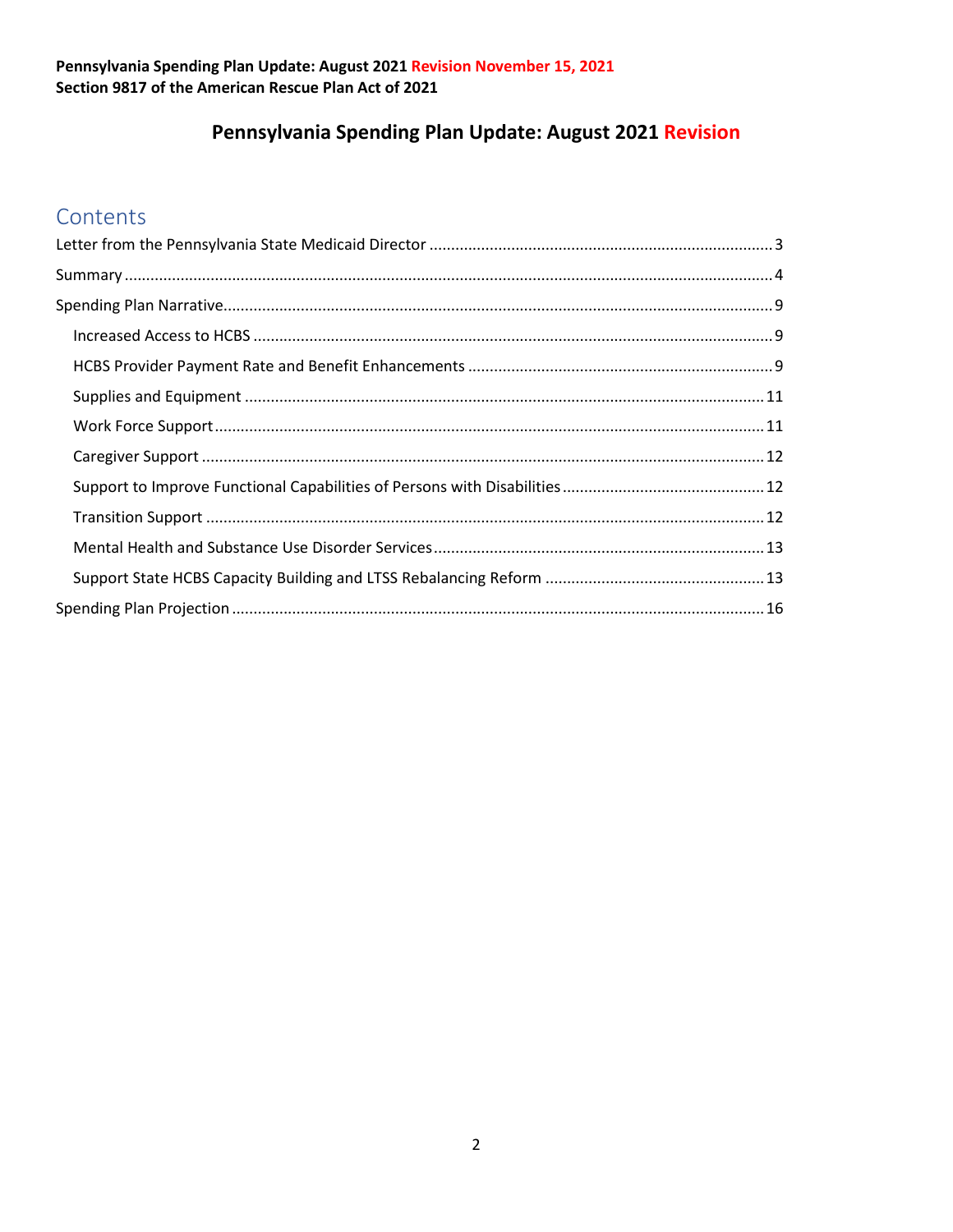## Pennsylvania Spending Plan Update: August 2021 Revision

## Contents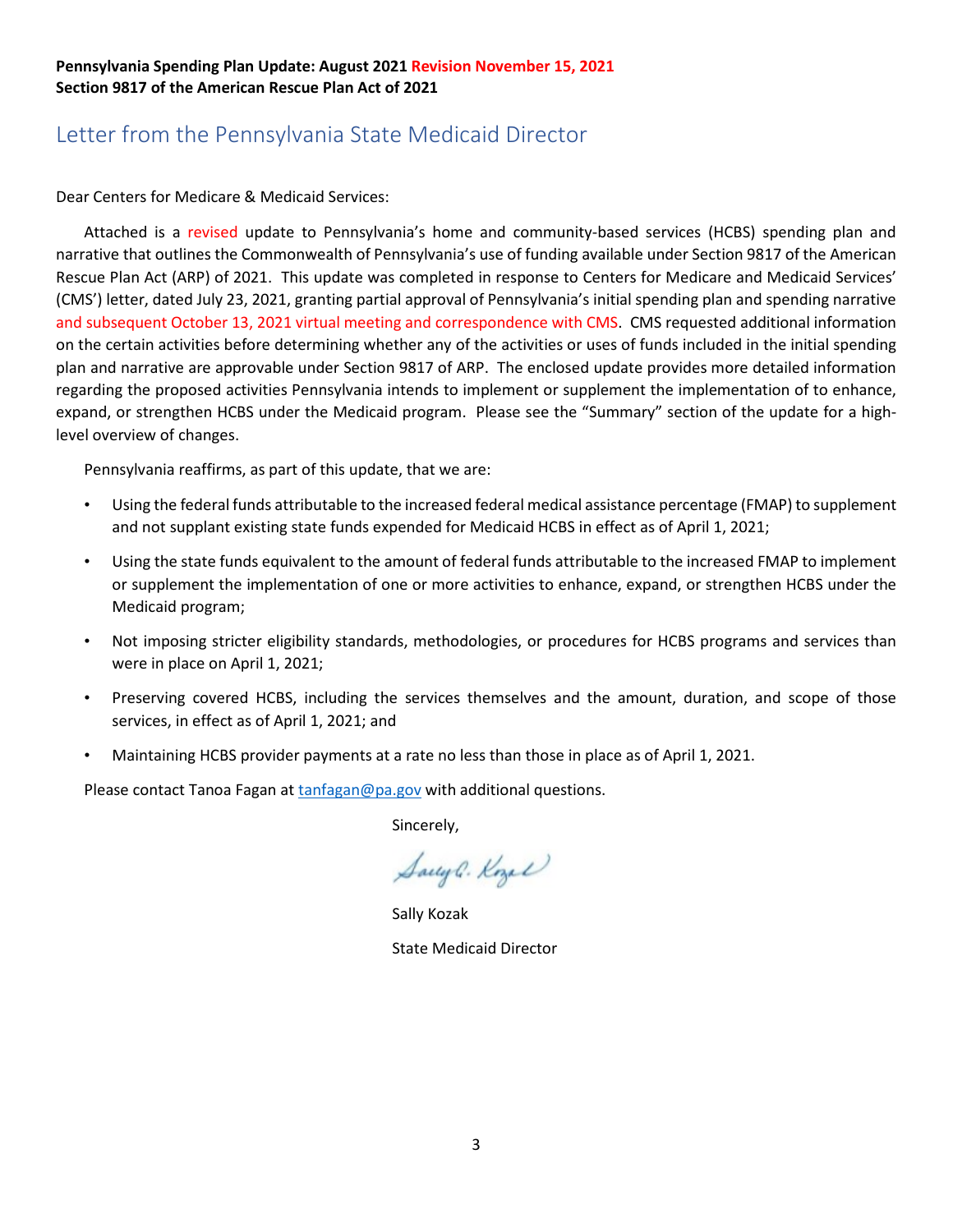## <span id="page-2-0"></span>Letter from the Pennsylvania State Medicaid Director

Dear Centers for Medicare & Medicaid Services:

Attached is a revised update to Pennsylvania's home and community-based services (HCBS) spending plan and narrative that outlines the Commonwealth of Pennsylvania's use of funding available under Section 9817 of the American Rescue Plan Act (ARP) of 2021. This update was completed in response to Centers for Medicare and Medicaid Services' (CMS') letter, dated July 23, 2021, granting partial approval of Pennsylvania's initial spending plan and spending narrative and subsequent October 13, 2021 virtual meeting and correspondence with CMS. CMS requested additional information on the certain activities before determining whether any of the activities or uses of funds included in the initial spending plan and narrative are approvable under Section 9817 of ARP. The enclosed update provides more detailed information regarding the proposed activities Pennsylvania intends to implement or supplement the implementation of to enhance, expand, or strengthen HCBS under the Medicaid program. Please see the "Summary" section of the update for a highlevel overview of changes.

Pennsylvania reaffirms, as part of this update, that we are:

- Using the federal funds attributable to the increased federal medical assistance percentage (FMAP) to supplement and not supplant existing state funds expended for Medicaid HCBS in effect as of April 1, 2021;
- Using the state funds equivalent to the amount of federal funds attributable to the increased FMAP to implement or supplement the implementation of one or more activities to enhance, expand, or strengthen HCBS under the Medicaid program;
- Not imposing stricter eligibility standards, methodologies, or procedures for HCBS programs and services than were in place on April 1, 2021;
- Preserving covered HCBS, including the services themselves and the amount, duration, and scope of those services, in effect as of April 1, 2021; and
- Maintaining HCBS provider payments at a rate no less than those in place as of April 1, 2021.

Please contact Tanoa Fagan a[t tanfagan@pa.gov](mailto:tanfagan@pa.gov) with additional questions.

Sincerely,

Saugh. Kozel

Sally Kozak State Medicaid Director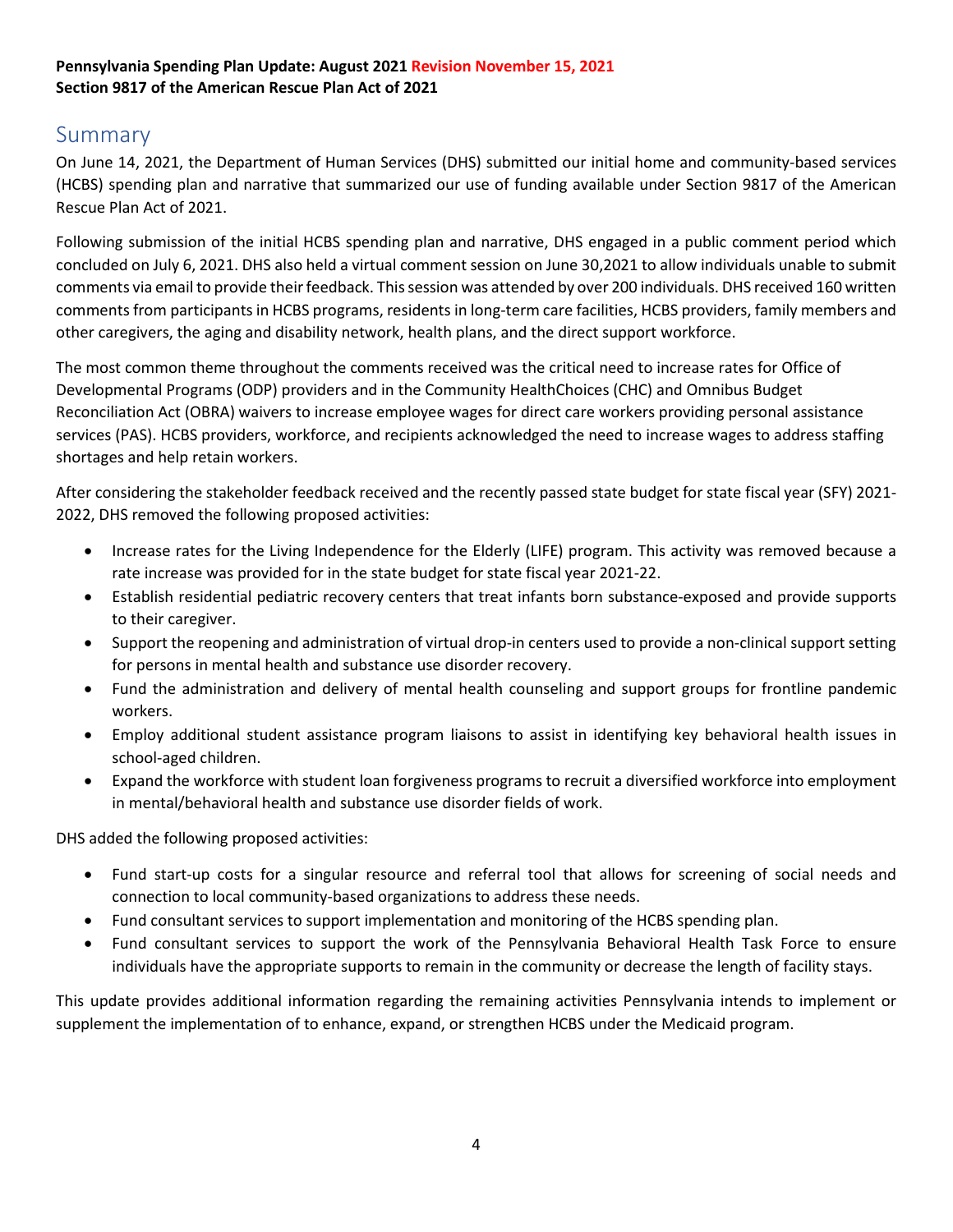### <span id="page-3-0"></span>Summary

On June 14, 2021, the Department of Human Services (DHS) submitted our initial home and community-based services (HCBS) spending plan and narrative that summarized our use of funding available under Section 9817 of the American Rescue Plan Act of 2021.

Following submission of the initial HCBS spending plan and narrative, DHS engaged in a public comment period which concluded on July 6, 2021. DHS also held a virtual comment session on June 30,2021 to allow individuals unable to submit comments via email to provide their feedback. This session was attended by over 200 individuals. DHS received 160 written comments from participants in HCBS programs, residents in long-term care facilities, HCBS providers, family members and other caregivers, the aging and disability network, health plans, and the direct support workforce.

The most common theme throughout the comments received was the critical need to increase rates for Office of Developmental Programs (ODP) providers and in the Community HealthChoices (CHC) and Omnibus Budget Reconciliation Act (OBRA) waivers to increase employee wages for direct care workers providing personal assistance services (PAS). HCBS providers, workforce, and recipients acknowledged the need to increase wages to address staffing shortages and help retain workers.

After considering the stakeholder feedback received and the recently passed state budget for state fiscal year (SFY) 2021- 2022, DHS removed the following proposed activities:

- Increase rates for the Living Independence for the Elderly (LIFE) program. This activity was removed because a rate increase was provided for in the state budget for state fiscal year 2021-22.
- Establish residential pediatric recovery centers that treat infants born substance-exposed and provide supports to their caregiver.
- Support the reopening and administration of virtual drop-in centers used to provide a non-clinical support setting for persons in mental health and substance use disorder recovery.
- Fund the administration and delivery of mental health counseling and support groups for frontline pandemic workers.
- Employ additional student assistance program liaisons to assist in identifying key behavioral health issues in school-aged children.
- Expand the workforce with student loan forgiveness programs to recruit a diversified workforce into employment in mental/behavioral health and substance use disorder fields of work.

DHS added the following proposed activities:

- Fund start-up costs for a singular resource and referral tool that allows for screening of social needs and connection to local community-based organizations to address these needs.
- Fund consultant services to support implementation and monitoring of the HCBS spending plan.
- Fund consultant services to support the work of the Pennsylvania Behavioral Health Task Force to ensure individuals have the appropriate supports to remain in the community or decrease the length of facility stays.

This update provides additional information regarding the remaining activities Pennsylvania intends to implement or supplement the implementation of to enhance, expand, or strengthen HCBS under the Medicaid program.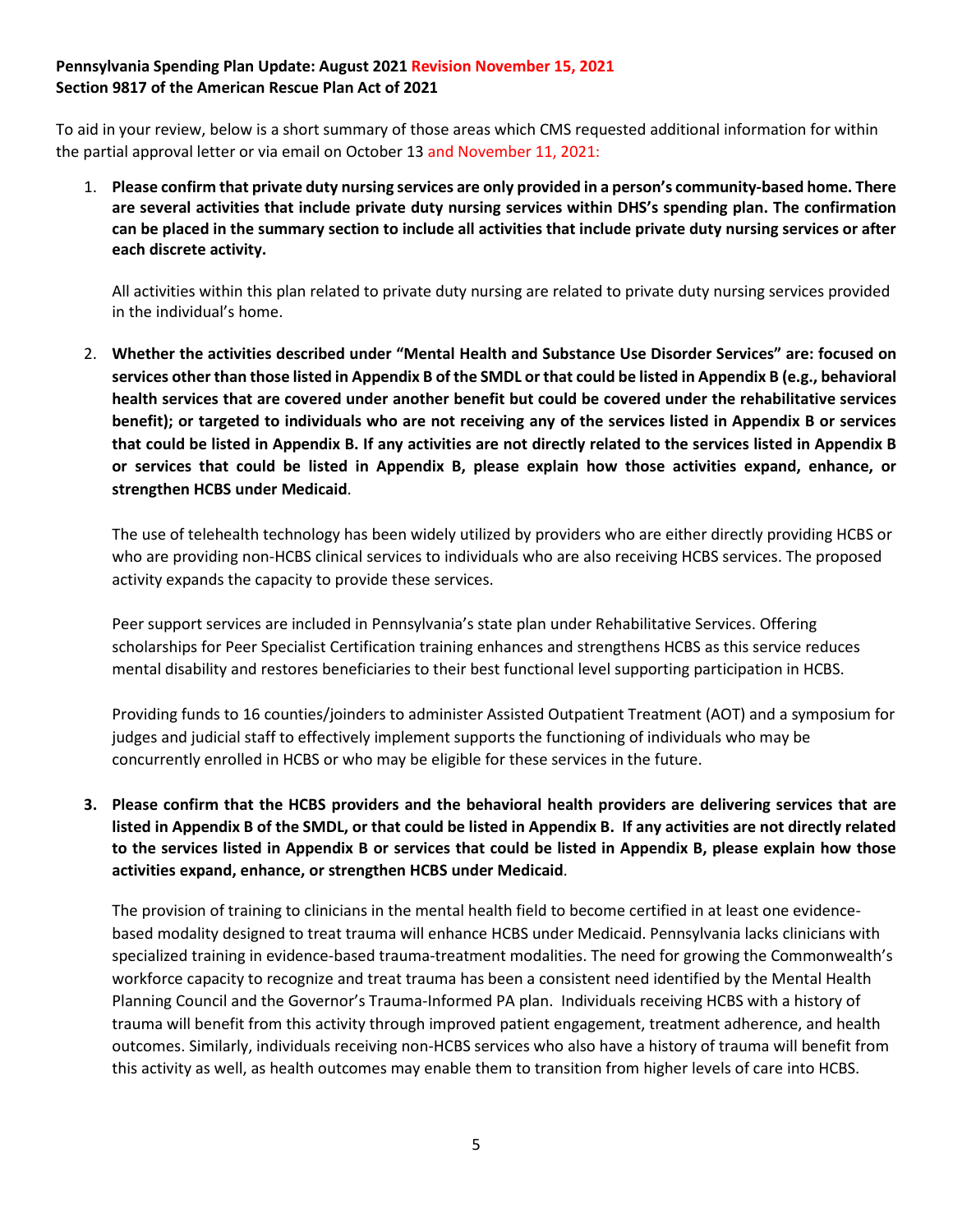To aid in your review, below is a short summary of those areas which CMS requested additional information for within the partial approval letter or via email on October 13 and November 11, 2021:

1. **Please confirm that private duty nursing services are only provided in a person's community-based home. There are several activities that include private duty nursing services within DHS's spending plan. The confirmation can be placed in the summary section to include all activities that include private duty nursing services or after each discrete activity.**

All activities within this plan related to private duty nursing are related to private duty nursing services provided in the individual's home.

2. **Whether the activities described under "Mental Health and Substance Use Disorder Services" are: focused on services other than those listed in Appendix B of the SMDL or that could be listed in Appendix B (e.g., behavioral health services that are covered under another benefit but could be covered under the rehabilitative services benefit); or targeted to individuals who are not receiving any of the services listed in Appendix B or services that could be listed in Appendix B. If any activities are not directly related to the services listed in Appendix B or services that could be listed in Appendix B, please explain how those activities expand, enhance, or strengthen HCBS under Medicaid**.

The use of telehealth technology has been widely utilized by providers who are either directly providing HCBS or who are providing non-HCBS clinical services to individuals who are also receiving HCBS services. The proposed activity expands the capacity to provide these services.

Peer support services are included in Pennsylvania's state plan under Rehabilitative Services. Offering scholarships for Peer Specialist Certification training enhances and strengthens HCBS as this service reduces mental disability and restores beneficiaries to their best functional level supporting participation in HCBS.

Providing funds to 16 counties/joinders to administer Assisted Outpatient Treatment (AOT) and a symposium for judges and judicial staff to effectively implement supports the functioning of individuals who may be concurrently enrolled in HCBS or who may be eligible for these services in the future.

**3. Please confirm that the HCBS providers and the behavioral health providers are delivering services that are listed in Appendix B of the SMDL, or that could be listed in Appendix B. If any activities are not directly related to the services listed in Appendix B or services that could be listed in Appendix B, please explain how those activities expand, enhance, or strengthen HCBS under Medicaid**.

The provision of training to clinicians in the mental health field to become certified in at least one evidencebased modality designed to treat trauma will enhance HCBS under Medicaid. Pennsylvania lacks clinicians with specialized training in evidence-based trauma-treatment modalities. The need for growing the Commonwealth's workforce capacity to recognize and treat trauma has been a consistent need identified by the Mental Health Planning Council and the Governor's Trauma-Informed PA plan. Individuals receiving HCBS with a history of trauma will benefit from this activity through improved patient engagement, treatment adherence, and health outcomes. Similarly, individuals receiving non-HCBS services who also have a history of trauma will benefit from this activity as well, as health outcomes may enable them to transition from higher levels of care into HCBS.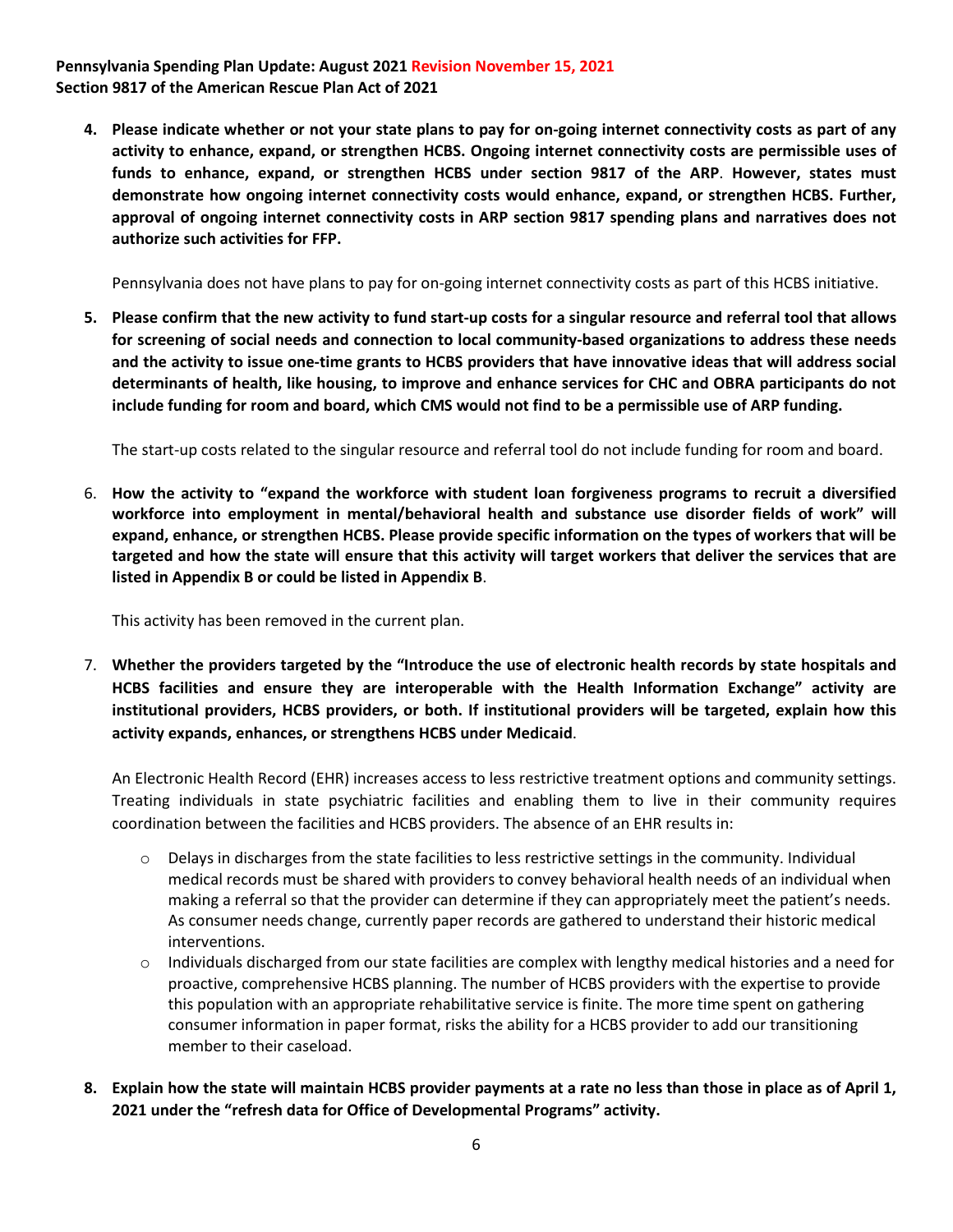**4. Please indicate whether or not your state plans to pay for on-going internet connectivity costs as part of any activity to enhance, expand, or strengthen HCBS. Ongoing internet connectivity costs are permissible uses of funds to enhance, expand, or strengthen HCBS under section 9817 of the ARP**. **However, states must demonstrate how ongoing internet connectivity costs would enhance, expand, or strengthen HCBS. Further, approval of ongoing internet connectivity costs in ARP section 9817 spending plans and narratives does not authorize such activities for FFP.** 

Pennsylvania does not have plans to pay for on-going internet connectivity costs as part of this HCBS initiative.

**5. Please confirm that the new activity to fund start-up costs for a singular resource and referral tool that allows for screening of social needs and connection to local community-based organizations to address these needs and the activity to issue one-time grants to HCBS providers that have innovative ideas that will address social determinants of health, like housing, to improve and enhance services for CHC and OBRA participants do not include funding for room and board, which CMS would not find to be a permissible use of ARP funding.** 

The start-up costs related to the singular resource and referral tool do not include funding for room and board.

6. **How the activity to "expand the workforce with student loan forgiveness programs to recruit a diversified workforce into employment in mental/behavioral health and substance use disorder fields of work" will expand, enhance, or strengthen HCBS. Please provide specific information on the types of workers that will be targeted and how the state will ensure that this activity will target workers that deliver the services that are listed in Appendix B or could be listed in Appendix B**.

This activity has been removed in the current plan.

7. **Whether the providers targeted by the "Introduce the use of electronic health records by state hospitals and HCBS facilities and ensure they are interoperable with the Health Information Exchange" activity are institutional providers, HCBS providers, or both. If institutional providers will be targeted, explain how this activity expands, enhances, or strengthens HCBS under Medicaid**.

An Electronic Health Record (EHR) increases access to less restrictive treatment options and community settings. Treating individuals in state psychiatric facilities and enabling them to live in their community requires coordination between the facilities and HCBS providers. The absence of an EHR results in:

- $\circ$  Delays in discharges from the state facilities to less restrictive settings in the community. Individual medical records must be shared with providers to convey behavioral health needs of an individual when making a referral so that the provider can determine if they can appropriately meet the patient's needs. As consumer needs change, currently paper records are gathered to understand their historic medical interventions.
- o Individuals discharged from our state facilities are complex with lengthy medical histories and a need for proactive, comprehensive HCBS planning. The number of HCBS providers with the expertise to provide this population with an appropriate rehabilitative service is finite. The more time spent on gathering consumer information in paper format, risks the ability for a HCBS provider to add our transitioning member to their caseload.
- **8. Explain how the state will maintain HCBS provider payments at a rate no less than those in place as of April 1, 2021 under the "refresh data for Office of Developmental Programs" activity.**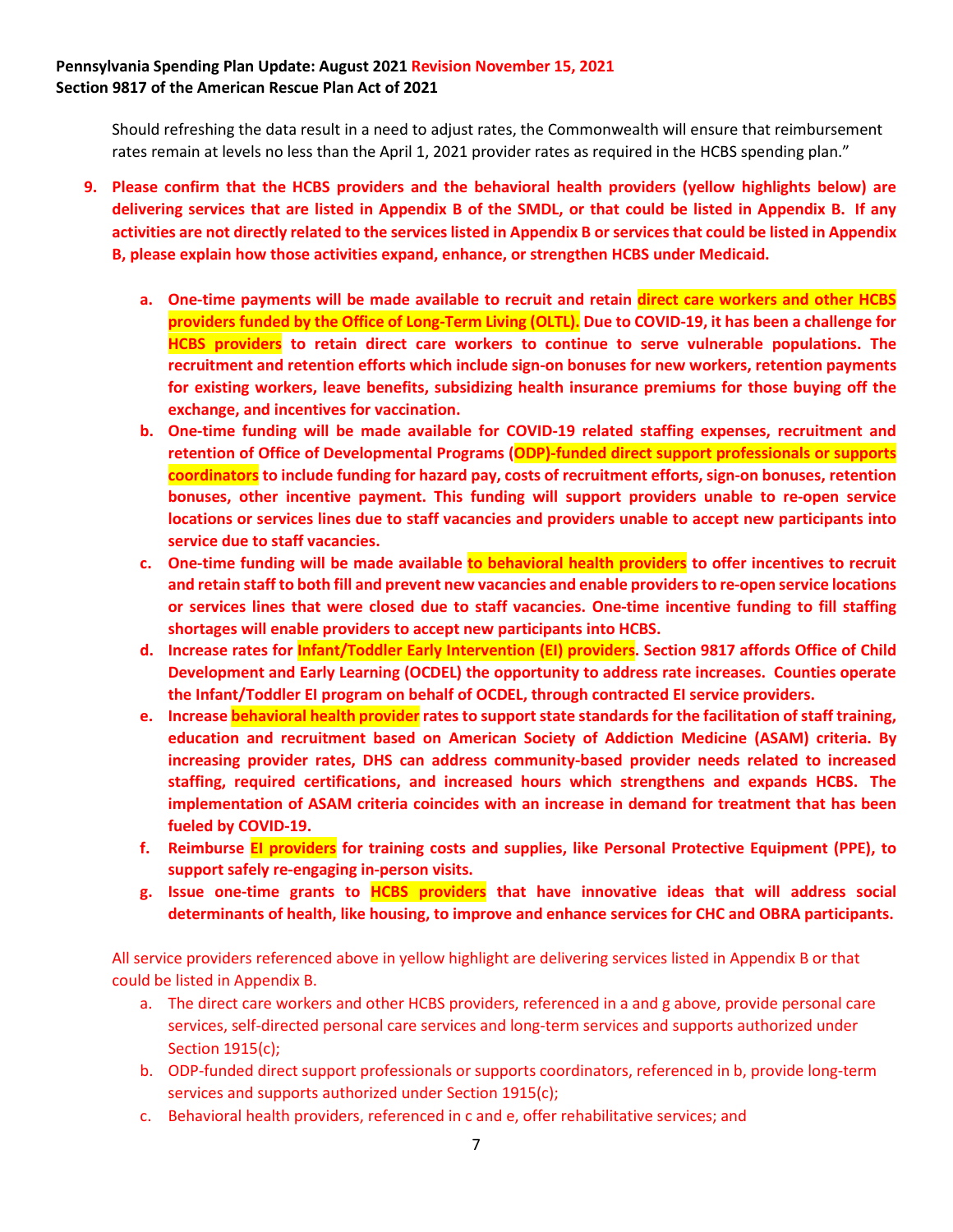Should refreshing the data result in a need to adjust rates, the Commonwealth will ensure that reimbursement rates remain at levels no less than the April 1, 2021 provider rates as required in the HCBS spending plan."

- **9. Please confirm that the HCBS providers and the behavioral health providers (yellow highlights below) are delivering services that are listed in Appendix B of the SMDL, or that could be listed in Appendix B. If any activities are not directly related to the services listed in Appendix B or services that could be listed in Appendix B, please explain how those activities expand, enhance, or strengthen HCBS under Medicaid.** 
	- **a. One-time payments will be made available to recruit and retain direct care workers and other HCBS providers funded by the Office of Long-Term Living (OLTL). Due to COVID-19, it has been a challenge for HCBS providers to retain direct care workers to continue to serve vulnerable populations. The recruitment and retention efforts which include sign-on bonuses for new workers, retention payments for existing workers, leave benefits, subsidizing health insurance premiums for those buying off the exchange, and incentives for vaccination.**
	- **b. One-time funding will be made available for COVID-19 related staffing expenses, recruitment and retention of Office of Developmental Programs (ODP)-funded direct support professionals or supports coordinators to include funding for hazard pay, costs of recruitment efforts, sign-on bonuses, retention bonuses, other incentive payment. This funding will support providers unable to re-open service locations or services lines due to staff vacancies and providers unable to accept new participants into service due to staff vacancies.**
	- **c. One-time funding will be made available to behavioral health providers to offer incentives to recruit and retain staff to both fill and prevent new vacancies and enable providers to re-open service locations or services lines that were closed due to staff vacancies. One-time incentive funding to fill staffing shortages will enable providers to accept new participants into HCBS.**
	- **d. Increase rates for Infant/Toddler Early Intervention (EI) providers. Section 9817 affords Office of Child Development and Early Learning (OCDEL) the opportunity to address rate increases. Counties operate the Infant/Toddler EI program on behalf of OCDEL, through contracted EI service providers.**
	- **e. Increase behavioral health provider rates to support state standards for the facilitation of staff training, education and recruitment based on American Society of Addiction Medicine (ASAM) criteria. By increasing provider rates, DHS can address community-based provider needs related to increased staffing, required certifications, and increased hours which strengthens and expands HCBS. The implementation of ASAM criteria coincides with an increase in demand for treatment that has been fueled by COVID-19.**
	- **f. Reimburse EI providers for training costs and supplies, like Personal Protective Equipment (PPE), to support safely re-engaging in-person visits.**
	- **g. Issue one-time grants to HCBS providers that have innovative ideas that will address social determinants of health, like housing, to improve and enhance services for CHC and OBRA participants.**

All service providers referenced above in yellow highlight are delivering services listed in Appendix B or that could be listed in Appendix B.

- a. The direct care workers and other HCBS providers, referenced in a and g above, provide personal care services, self-directed personal care services and long-term services and supports authorized under Section 1915(c);
- b. ODP-funded direct support professionals or supports coordinators, referenced in b, provide long-term services and supports authorized under Section 1915(c);
- c. Behavioral health providers, referenced in c and e, offer rehabilitative services; and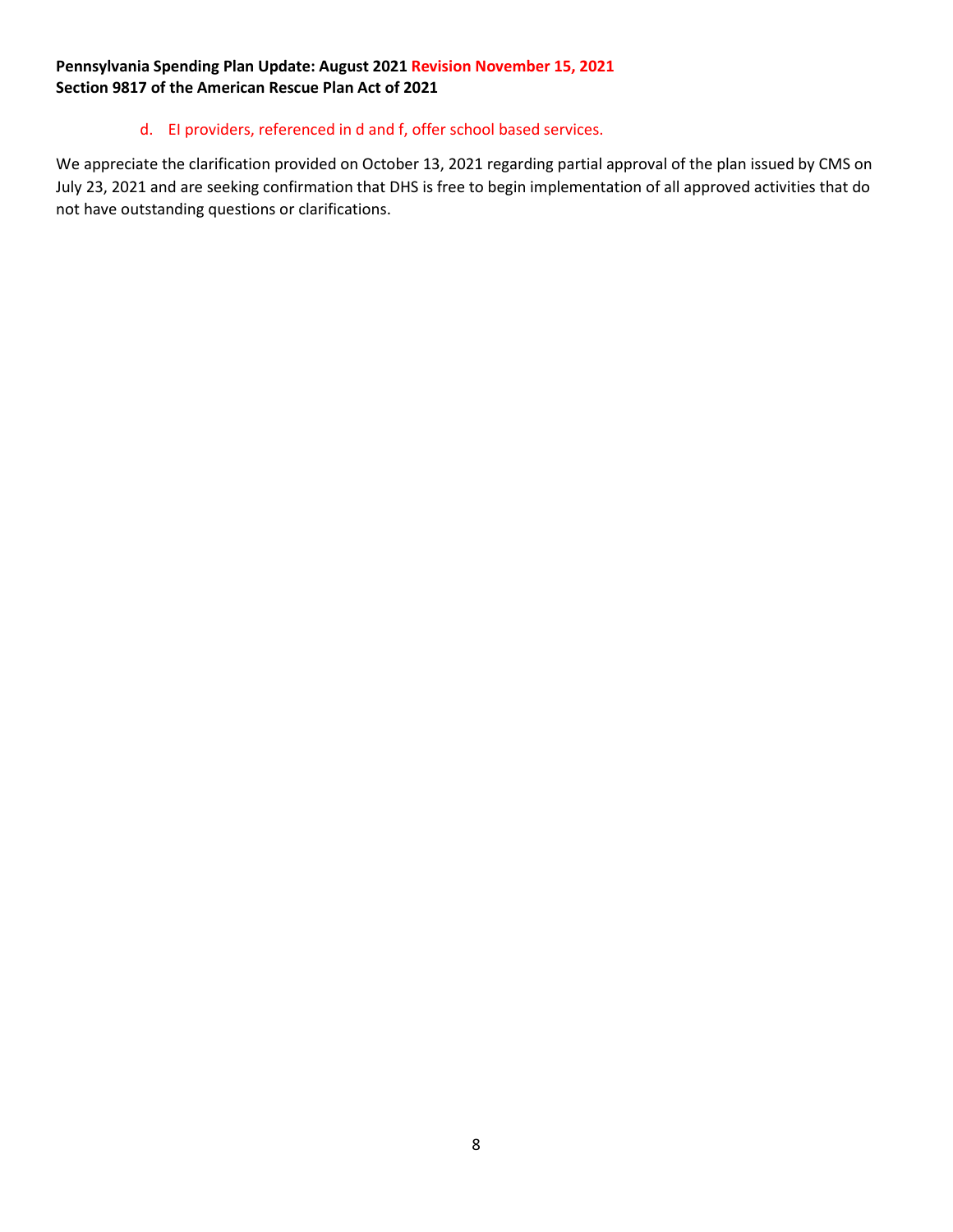#### d. EI providers, referenced in d and f, offer school based services.

We appreciate the clarification provided on October 13, 2021 regarding partial approval of the plan issued by CMS on July 23, 2021 and are seeking confirmation that DHS is free to begin implementation of all approved activities that do not have outstanding questions or clarifications.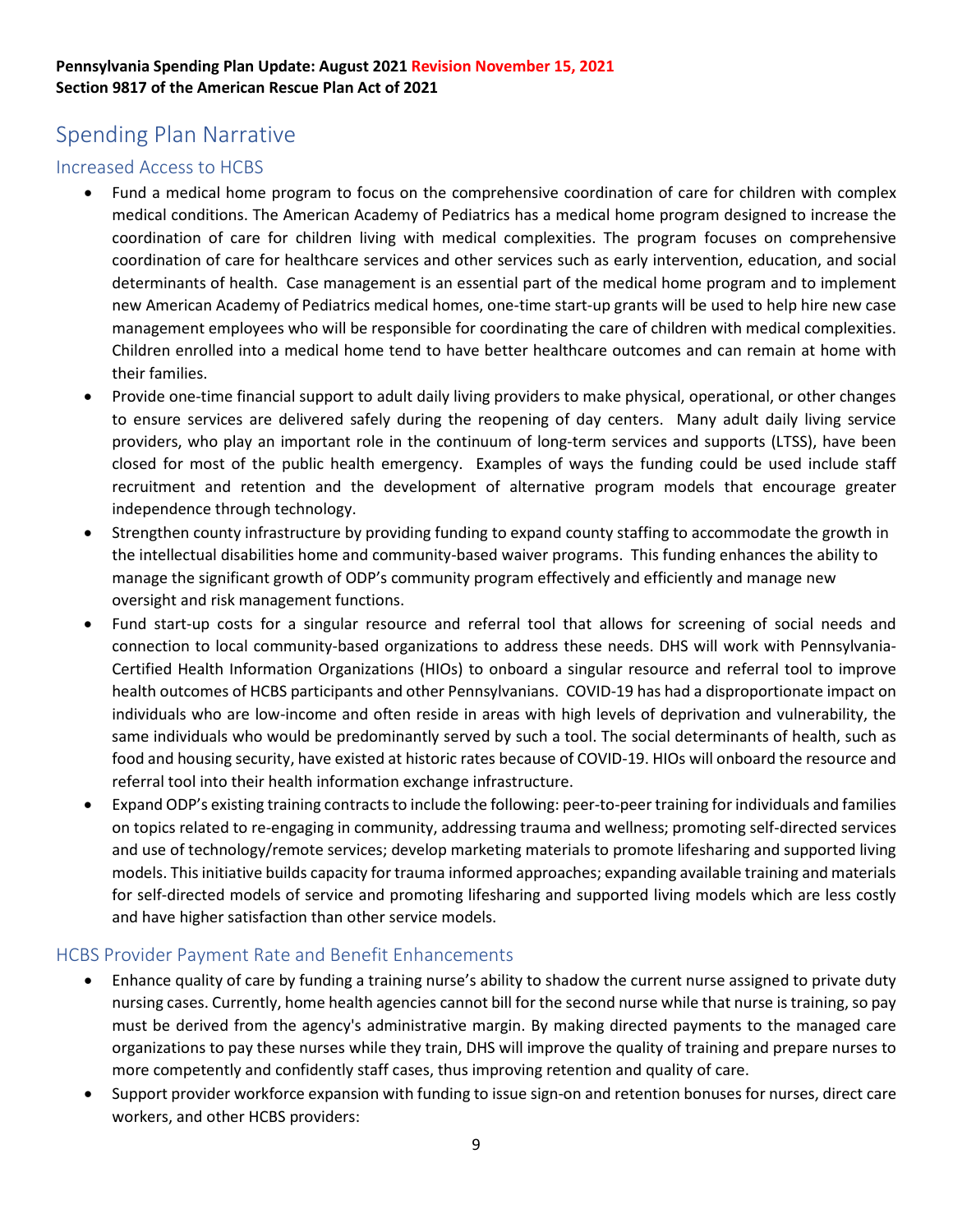## <span id="page-8-0"></span>Spending Plan Narrative

#### <span id="page-8-1"></span>Increased Access to HCBS

- Fund a medical home program to focus on the comprehensive coordination of care for children with complex medical conditions. The American Academy of Pediatrics has a medical home program designed to increase the coordination of care for children living with medical complexities. The program focuses on comprehensive coordination of care for healthcare services and other services such as early intervention, education, and social determinants of health. Case management is an essential part of the medical home program and to implement new American Academy of Pediatrics medical homes, one-time start-up grants will be used to help hire new case management employees who will be responsible for coordinating the care of children with medical complexities. Children enrolled into a medical home tend to have better healthcare outcomes and can remain at home with their families.
- Provide one-time financial support to adult daily living providers to make physical, operational, or other changes to ensure services are delivered safely during the reopening of day centers. Many adult daily living service providers, who play an important role in the continuum of long-term services and supports (LTSS), have been closed for most of the public health emergency. Examples of ways the funding could be used include staff recruitment and retention and the development of alternative program models that encourage greater independence through technology.
- Strengthen county infrastructure by providing funding to expand county staffing to accommodate the growth in the intellectual disabilities home and community-based waiver programs. This funding enhances the ability to manage the significant growth of ODP's community program effectively and efficiently and manage new oversight and risk management functions.
- Fund start-up costs for a singular resource and referral tool that allows for screening of social needs and connection to local community-based organizations to address these needs. DHS will work with Pennsylvania-Certified Health Information Organizations (HIOs) to onboard a singular resource and referral tool to improve health outcomes of HCBS participants and other Pennsylvanians. COVID-19 has had a disproportionate impact on individuals who are low-income and often reside in areas with high levels of deprivation and vulnerability, the same individuals who would be predominantly served by such a tool. The social determinants of health, such as food and housing security, have existed at historic rates because of COVID-19. HIOs will onboard the resource and referral tool into their health information exchange infrastructure.
- Expand ODP's existing training contracts to include the following: peer-to-peer training for individuals and families on topics related to re-engaging in community, addressing trauma and wellness; promoting self-directed services and use of technology/remote services; develop marketing materials to promote lifesharing and supported living models. This initiative builds capacity for trauma informed approaches; expanding available training and materials for self-directed models of service and promoting lifesharing and supported living models which are less costly and have higher satisfaction than other service models.

#### <span id="page-8-2"></span>HCBS Provider Payment Rate and Benefit Enhancements

- Enhance quality of care by funding a training nurse's ability to shadow the current nurse assigned to private duty nursing cases. Currently, home health agencies cannot bill for the second nurse while that nurse is training, so pay must be derived from the agency's administrative margin. By making directed payments to the managed care organizations to pay these nurses while they train, DHS will improve the quality of training and prepare nurses to more competently and confidently staff cases, thus improving retention and quality of care.
- Support provider workforce expansion with funding to issue sign-on and retention bonuses for nurses, direct care workers, and other HCBS providers: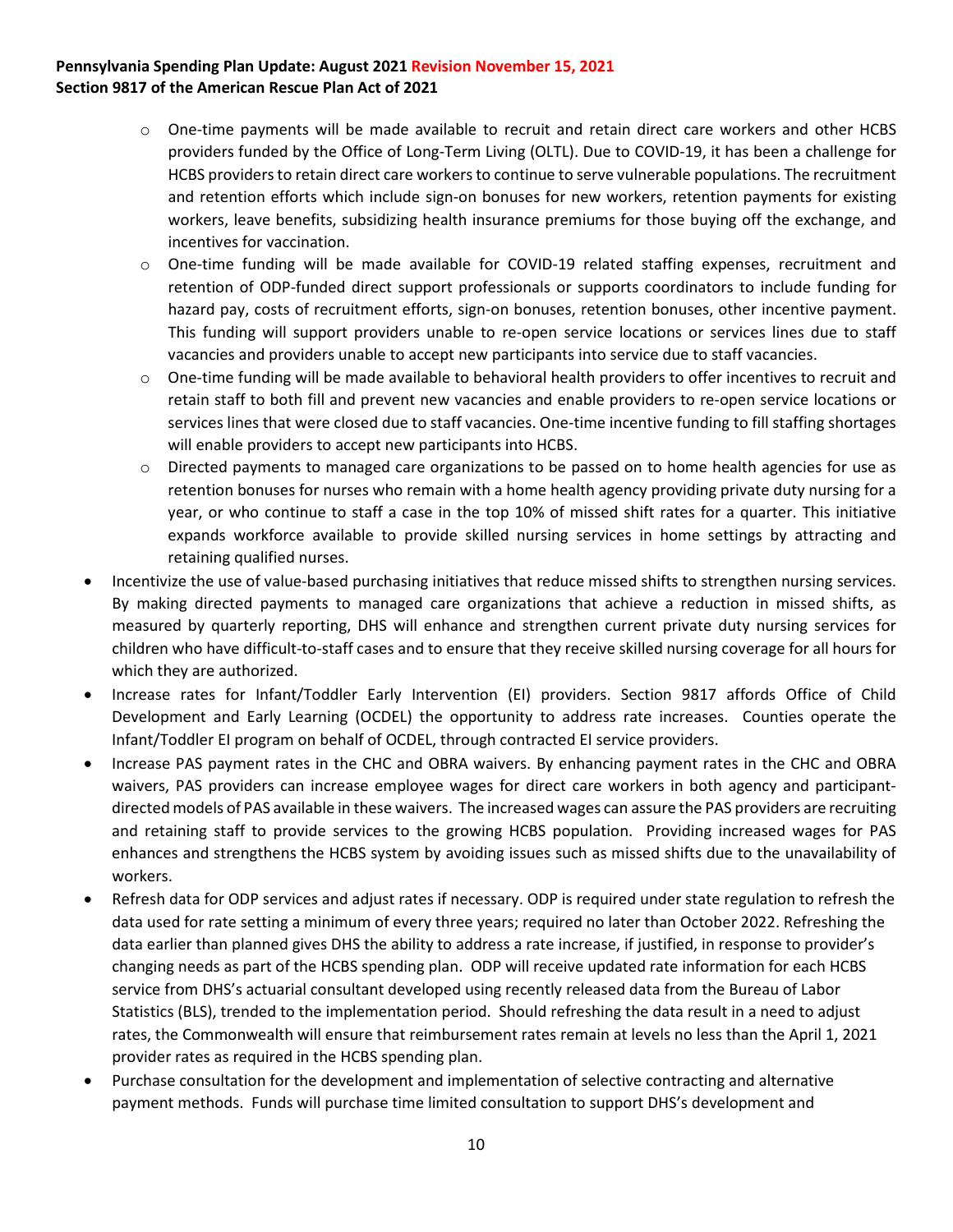- o One-time payments will be made available to recruit and retain direct care workers and other HCBS providers funded by the Office of Long-Term Living (OLTL). Due to COVID-19, it has been a challenge for HCBS providers to retain direct care workers to continue to serve vulnerable populations. The recruitment and retention efforts which include sign-on bonuses for new workers, retention payments for existing workers, leave benefits, subsidizing health insurance premiums for those buying off the exchange, and incentives for vaccination.
- o One-time funding will be made available for COVID-19 related staffing expenses, recruitment and retention of ODP-funded direct support professionals or supports coordinators to include funding for hazard pay, costs of recruitment efforts, sign-on bonuses, retention bonuses, other incentive payment. This funding will support providers unable to re-open service locations or services lines due to staff vacancies and providers unable to accept new participants into service due to staff vacancies.
- o One-time funding will be made available to behavioral health providers to offer incentives to recruit and retain staff to both fill and prevent new vacancies and enable providers to re-open service locations or services lines that were closed due to staff vacancies. One-time incentive funding to fill staffing shortages will enable providers to accept new participants into HCBS.
- $\circ$  Directed payments to managed care organizations to be passed on to home health agencies for use as retention bonuses for nurses who remain with a home health agency providing private duty nursing for a year, or who continue to staff a case in the top 10% of missed shift rates for a quarter. This initiative expands workforce available to provide skilled nursing services in home settings by attracting and retaining qualified nurses.
- Incentivize the use of value-based purchasing initiatives that reduce missed shifts to strengthen nursing services. By making directed payments to managed care organizations that achieve a reduction in missed shifts, as measured by quarterly reporting, DHS will enhance and strengthen current private duty nursing services for children who have difficult-to-staff cases and to ensure that they receive skilled nursing coverage for all hours for which they are authorized.
- Increase rates for Infant/Toddler Early Intervention (EI) providers. Section 9817 affords Office of Child Development and Early Learning (OCDEL) the opportunity to address rate increases. Counties operate the Infant/Toddler EI program on behalf of OCDEL, through contracted EI service providers.
- Increase PAS payment rates in the CHC and OBRA waivers. By enhancing payment rates in the CHC and OBRA waivers, PAS providers can increase employee wages for direct care workers in both agency and participantdirected models of PAS available in these waivers. The increased wages can assure the PAS providers are recruiting and retaining staff to provide services to the growing HCBS population. Providing increased wages for PAS enhances and strengthens the HCBS system by avoiding issues such as missed shifts due to the unavailability of workers.
- Refresh data for ODP services and adjust rates if necessary. ODP is required under state regulation to refresh the data used for rate setting a minimum of every three years; required no later than October 2022. Refreshing the data earlier than planned gives DHS the ability to address a rate increase, if justified, in response to provider's changing needs as part of the HCBS spending plan. ODP will receive updated rate information for each HCBS service from DHS's actuarial consultant developed using recently released data from the Bureau of Labor Statistics (BLS), trended to the implementation period. Should refreshing the data result in a need to adjust rates, the Commonwealth will ensure that reimbursement rates remain at levels no less than the April 1, 2021 provider rates as required in the HCBS spending plan.
- Purchase consultation for the development and implementation of selective contracting and alternative payment methods. Funds will purchase time limited consultation to support DHS's development and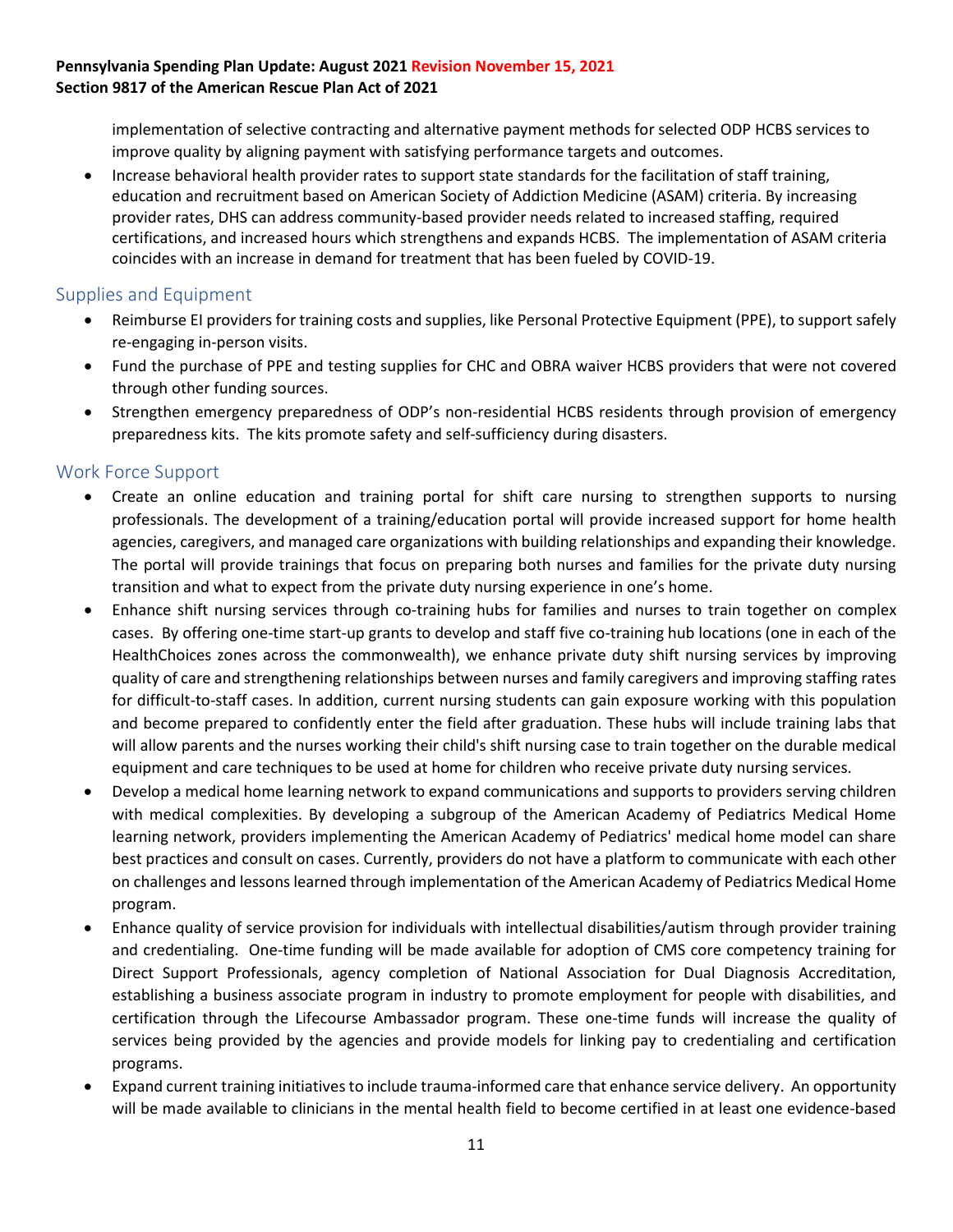implementation of selective contracting and alternative payment methods for selected ODP HCBS services to improve quality by aligning payment with satisfying performance targets and outcomes.

• Increase behavioral health provider rates to support state standards for the facilitation of staff training, education and recruitment based on American Society of Addiction Medicine (ASAM) criteria. By increasing provider rates, DHS can address community-based provider needs related to increased staffing, required certifications, and increased hours which strengthens and expands HCBS. The implementation of ASAM criteria coincides with an increase in demand for treatment that has been fueled by COVID-19.

#### <span id="page-10-0"></span>Supplies and Equipment

- Reimburse EI providers for training costs and supplies, like Personal Protective Equipment (PPE), to support safely re-engaging in-person visits.
- Fund the purchase of PPE and testing supplies for CHC and OBRA waiver HCBS providers that were not covered through other funding sources.
- Strengthen emergency preparedness of ODP's non-residential HCBS residents through provision of emergency preparedness kits. The kits promote safety and self-sufficiency during disasters.

#### <span id="page-10-1"></span>Work Force Support

- Create an online education and training portal for shift care nursing to strengthen supports to nursing professionals. The development of a training/education portal will provide increased support for home health agencies, caregivers, and managed care organizations with building relationships and expanding their knowledge. The portal will provide trainings that focus on preparing both nurses and families for the private duty nursing transition and what to expect from the private duty nursing experience in one's home.
- Enhance shift nursing services through co-training hubs for families and nurses to train together on complex cases. By offering one-time start-up grants to develop and staff five co-training hub locations (one in each of the HealthChoices zones across the commonwealth), we enhance private duty shift nursing services by improving quality of care and strengthening relationships between nurses and family caregivers and improving staffing rates for difficult-to-staff cases. In addition, current nursing students can gain exposure working with this population and become prepared to confidently enter the field after graduation. These hubs will include training labs that will allow parents and the nurses working their child's shift nursing case to train together on the durable medical equipment and care techniques to be used at home for children who receive private duty nursing services.
- Develop a medical home learning network to expand communications and supports to providers serving children with medical complexities. By developing a subgroup of the American Academy of Pediatrics Medical Home learning network, providers implementing the American Academy of Pediatrics' medical home model can share best practices and consult on cases. Currently, providers do not have a platform to communicate with each other on challenges and lessons learned through implementation of the American Academy of Pediatrics Medical Home program.
- Enhance quality of service provision for individuals with intellectual disabilities/autism through provider training and credentialing. One-time funding will be made available for adoption of CMS core competency training for Direct Support Professionals, agency completion of National Association for Dual Diagnosis Accreditation, establishing a business associate program in industry to promote employment for people with disabilities, and certification through the Lifecourse Ambassador program. These one-time funds will increase the quality of services being provided by the agencies and provide models for linking pay to credentialing and certification programs.
- Expand current training initiatives to include trauma-informed care that enhance service delivery. An opportunity will be made available to clinicians in the mental health field to become certified in at least one evidence-based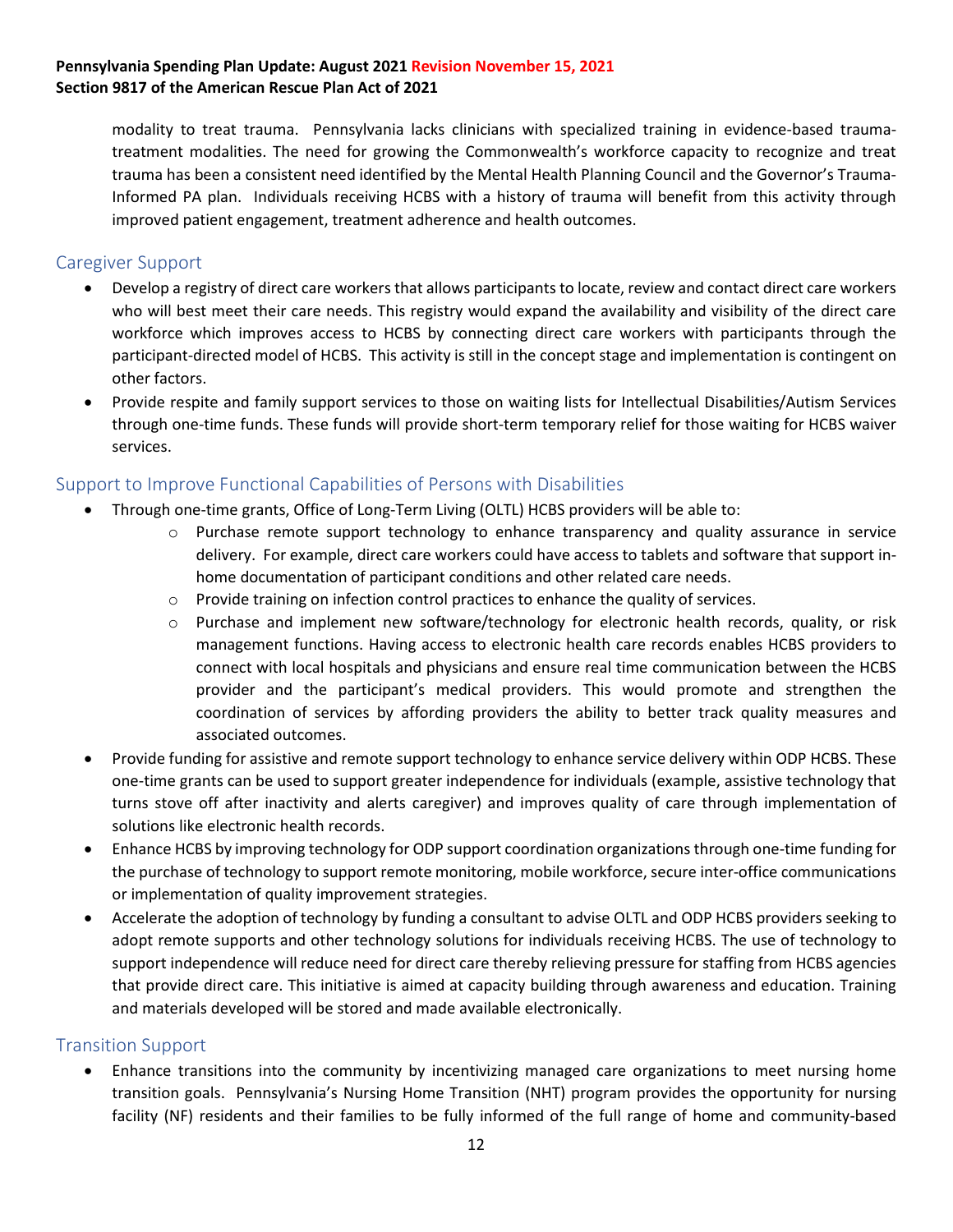modality to treat trauma. Pennsylvania lacks clinicians with specialized training in evidence-based traumatreatment modalities. The need for growing the Commonwealth's workforce capacity to recognize and treat trauma has been a consistent need identified by the Mental Health Planning Council and the Governor's Trauma-Informed PA plan. Individuals receiving HCBS with a history of trauma will benefit from this activity through improved patient engagement, treatment adherence and health outcomes.

#### <span id="page-11-0"></span>Caregiver Support

- Develop a registry of direct care workers that allows participants to locate, review and contact direct care workers who will best meet their care needs. This registry would expand the availability and visibility of the direct care workforce which improves access to HCBS by connecting direct care workers with participants through the participant-directed model of HCBS. This activity is still in the concept stage and implementation is contingent on other factors.
- Provide respite and family support services to those on waiting lists for Intellectual Disabilities/Autism Services through one-time funds. These funds will provide short-term temporary relief for those waiting for HCBS waiver services.

#### <span id="page-11-1"></span>Support to Improve Functional Capabilities of Persons with Disabilities

- Through one-time grants, Office of Long-Term Living (OLTL) HCBS providers will be able to:
	- $\circ$  Purchase remote support technology to enhance transparency and quality assurance in service delivery. For example, direct care workers could have access to tablets and software that support inhome documentation of participant conditions and other related care needs.
	- $\circ$  Provide training on infection control practices to enhance the quality of services.
	- o Purchase and implement new software/technology for electronic health records, quality, or risk management functions. Having access to electronic health care records enables HCBS providers to connect with local hospitals and physicians and ensure real time communication between the HCBS provider and the participant's medical providers. This would promote and strengthen the coordination of services by affording providers the ability to better track quality measures and associated outcomes.
- Provide funding for assistive and remote support technology to enhance service delivery within ODP HCBS. These one-time grants can be used to support greater independence for individuals (example, assistive technology that turns stove off after inactivity and alerts caregiver) and improves quality of care through implementation of solutions like electronic health records.
- Enhance HCBS by improving technology for ODP support coordination organizations through one-time funding for the purchase of technology to support remote monitoring, mobile workforce, secure inter-office communications or implementation of quality improvement strategies.
- Accelerate the adoption of technology by funding a consultant to advise OLTL and ODP HCBS providers seeking to adopt remote supports and other technology solutions for individuals receiving HCBS. The use of technology to support independence will reduce need for direct care thereby relieving pressure for staffing from HCBS agencies that provide direct care. This initiative is aimed at capacity building through awareness and education. Training and materials developed will be stored and made available electronically.

#### <span id="page-11-2"></span>Transition Support

• Enhance transitions into the community by incentivizing managed care organizations to meet nursing home transition goals. Pennsylvania's Nursing Home Transition (NHT) program provides the opportunity for nursing facility (NF) residents and their families to be fully informed of the full range of home and community-based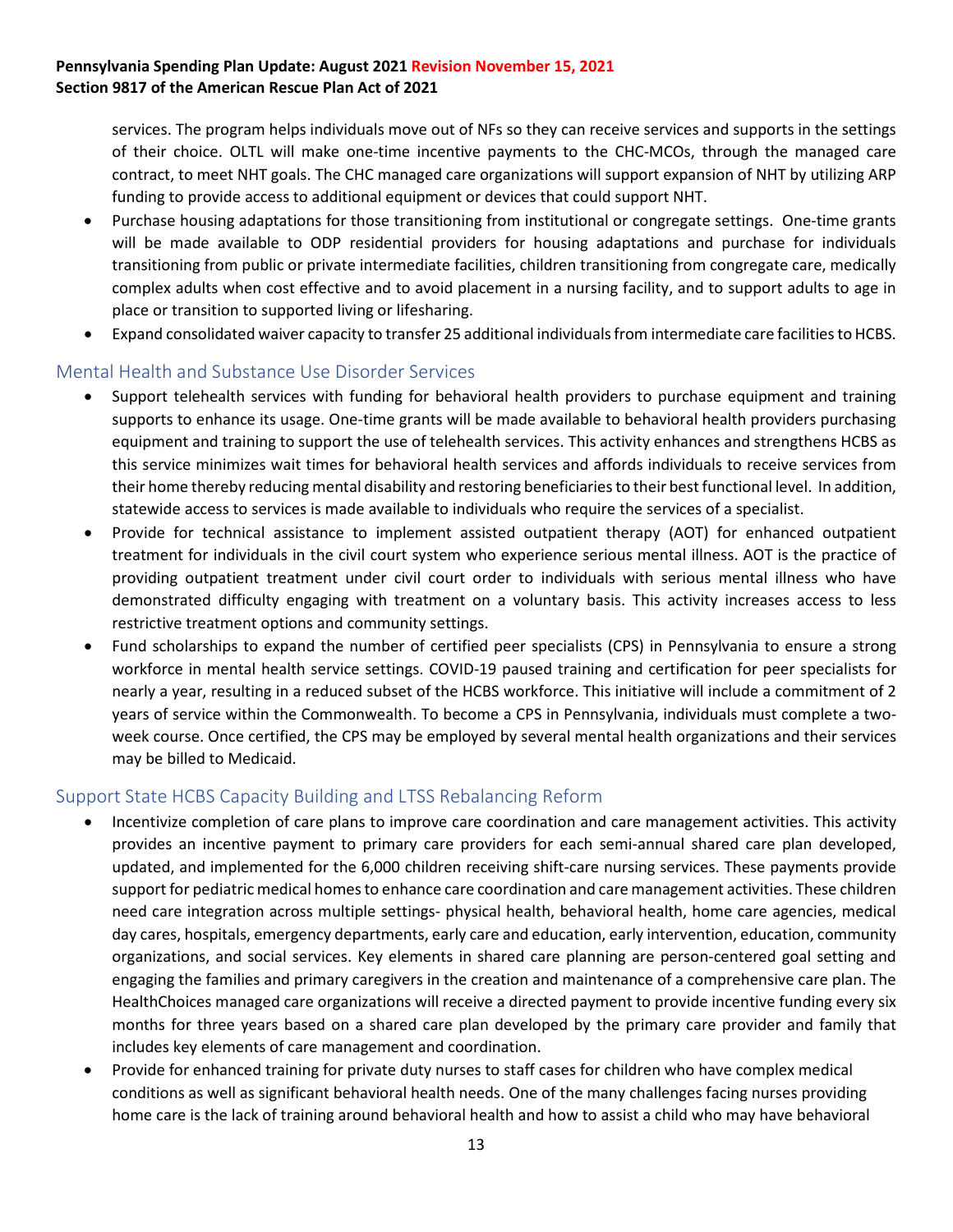services. The program helps individuals move out of NFs so they can receive services and supports in the settings of their choice. OLTL will make one-time incentive payments to the CHC-MCOs, through the managed care contract, to meet NHT goals. The CHC managed care organizations will support expansion of NHT by utilizing ARP funding to provide access to additional equipment or devices that could support NHT.

- Purchase housing adaptations for those transitioning from institutional or congregate settings. One-time grants will be made available to ODP residential providers for housing adaptations and purchase for individuals transitioning from public or private intermediate facilities, children transitioning from congregate care, medically complex adults when cost effective and to avoid placement in a nursing facility, and to support adults to age in place or transition to supported living or lifesharing.
- Expand consolidated waiver capacity to transfer 25 additional individuals from intermediate care facilities to HCBS.

#### <span id="page-12-0"></span>Mental Health and Substance Use Disorder Services

- Support telehealth services with funding for behavioral health providers to purchase equipment and training supports to enhance its usage. One-time grants will be made available to behavioral health providers purchasing equipment and training to support the use of telehealth services. This activity enhances and strengthens HCBS as this service minimizes wait times for behavioral health services and affords individuals to receive services from their home thereby reducing mental disability and restoring beneficiaries to their best functional level. In addition, statewide access to services is made available to individuals who require the services of a specialist.
- Provide for technical assistance to implement assisted outpatient therapy (AOT) for enhanced outpatient treatment for individuals in the civil court system who experience serious mental illness. AOT is the practice of providing outpatient treatment under civil court order to individuals with serious mental illness who have demonstrated difficulty engaging with treatment on a voluntary basis. This activity increases access to less restrictive treatment options and community settings.
- Fund scholarships to expand the number of certified peer specialists (CPS) in Pennsylvania to ensure a strong workforce in mental health service settings. COVID-19 paused training and certification for peer specialists for nearly a year, resulting in a reduced subset of the HCBS workforce. This initiative will include a commitment of 2 years of service within the Commonwealth. To become a CPS in Pennsylvania, individuals must complete a twoweek course. Once certified, the CPS may be employed by several mental health organizations and their services may be billed to Medicaid.

#### <span id="page-12-1"></span>Support State HCBS Capacity Building and LTSS Rebalancing Reform

- Incentivize completion of care plans to improve care coordination and care management activities. This activity provides an incentive payment to primary care providers for each semi-annual shared care plan developed, updated, and implemented for the 6,000 children receiving shift-care nursing services. These payments provide support for pediatric medical homes to enhance care coordination and care management activities. These children need care integration across multiple settings- physical health, behavioral health, home care agencies, medical day cares, hospitals, emergency departments, early care and education, early intervention, education, community organizations, and social services. Key elements in shared care planning are person-centered goal setting and engaging the families and primary caregivers in the creation and maintenance of a comprehensive care plan. The HealthChoices managed care organizations will receive a directed payment to provide incentive funding every six months for three years based on a shared care plan developed by the primary care provider and family that includes key elements of care management and coordination.
- Provide for enhanced training for private duty nurses to staff cases for children who have complex medical conditions as well as significant behavioral health needs. One of the many challenges facing nurses providing home care is the lack of training around behavioral health and how to assist a child who may have behavioral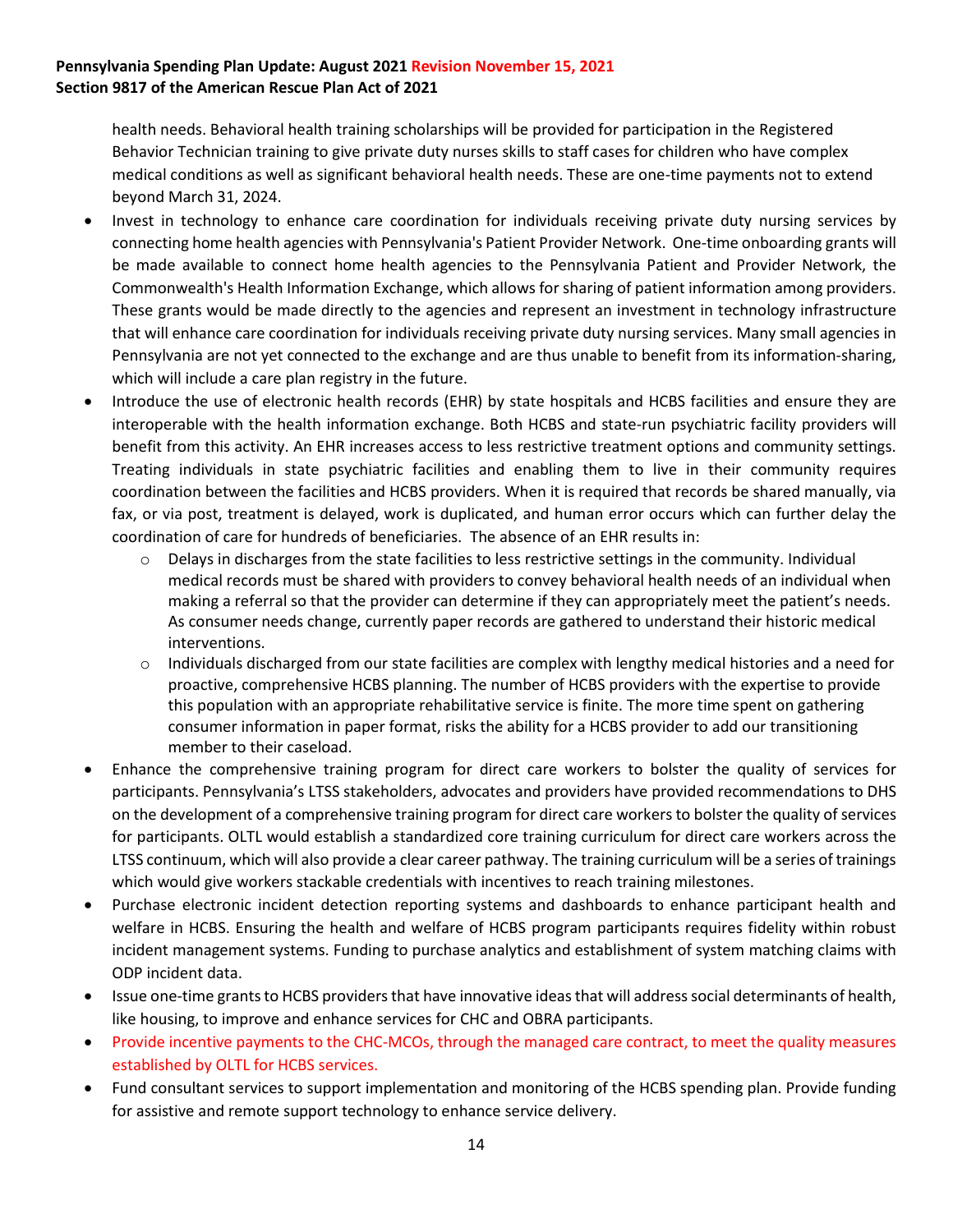health needs. Behavioral health training scholarships will be provided for participation in the Registered Behavior Technician training to give private duty nurses skills to staff cases for children who have complex medical conditions as well as significant behavioral health needs. These are one-time payments not to extend beyond March 31, 2024.

- Invest in technology to enhance care coordination for individuals receiving private duty nursing services by connecting home health agencies with Pennsylvania's Patient Provider Network. One-time onboarding grants will be made available to connect home health agencies to the Pennsylvania Patient and Provider Network, the Commonwealth's Health Information Exchange, which allows for sharing of patient information among providers. These grants would be made directly to the agencies and represent an investment in technology infrastructure that will enhance care coordination for individuals receiving private duty nursing services. Many small agencies in Pennsylvania are not yet connected to the exchange and are thus unable to benefit from its information-sharing, which will include a care plan registry in the future.
- Introduce the use of electronic health records (EHR) by state hospitals and HCBS facilities and ensure they are interoperable with the health information exchange. Both HCBS and state-run psychiatric facility providers will benefit from this activity. An EHR increases access to less restrictive treatment options and community settings. Treating individuals in state psychiatric facilities and enabling them to live in their community requires coordination between the facilities and HCBS providers. When it is required that records be shared manually, via fax, or via post, treatment is delayed, work is duplicated, and human error occurs which can further delay the coordination of care for hundreds of beneficiaries. The absence of an EHR results in:
	- $\circ$  Delays in discharges from the state facilities to less restrictive settings in the community. Individual medical records must be shared with providers to convey behavioral health needs of an individual when making a referral so that the provider can determine if they can appropriately meet the patient's needs. As consumer needs change, currently paper records are gathered to understand their historic medical interventions.
	- $\circ$  Individuals discharged from our state facilities are complex with lengthy medical histories and a need for proactive, comprehensive HCBS planning. The number of HCBS providers with the expertise to provide this population with an appropriate rehabilitative service is finite. The more time spent on gathering consumer information in paper format, risks the ability for a HCBS provider to add our transitioning member to their caseload.
- Enhance the comprehensive training program for direct care workers to bolster the quality of services for participants. Pennsylvania's LTSS stakeholders, advocates and providers have provided recommendations to DHS on the development of a comprehensive training program for direct care workers to bolster the quality of services for participants. OLTL would establish a standardized core training curriculum for direct care workers across the LTSS continuum, which will also provide a clear career pathway. The training curriculum will be a series of trainings which would give workers stackable credentials with incentives to reach training milestones.
- Purchase electronic incident detection reporting systems and dashboards to enhance participant health and welfare in HCBS. Ensuring the health and welfare of HCBS program participants requires fidelity within robust incident management systems. Funding to purchase analytics and establishment of system matching claims with ODP incident data.
- Issue one-time grants to HCBS providers that have innovative ideas that will address social determinants of health, like housing, to improve and enhance services for CHC and OBRA participants.
- Provide incentive payments to the CHC-MCOs, through the managed care contract, to meet the quality measures established by OLTL for HCBS services.
- Fund consultant services to support implementation and monitoring of the HCBS spending plan. Provide funding for assistive and remote support technology to enhance service delivery.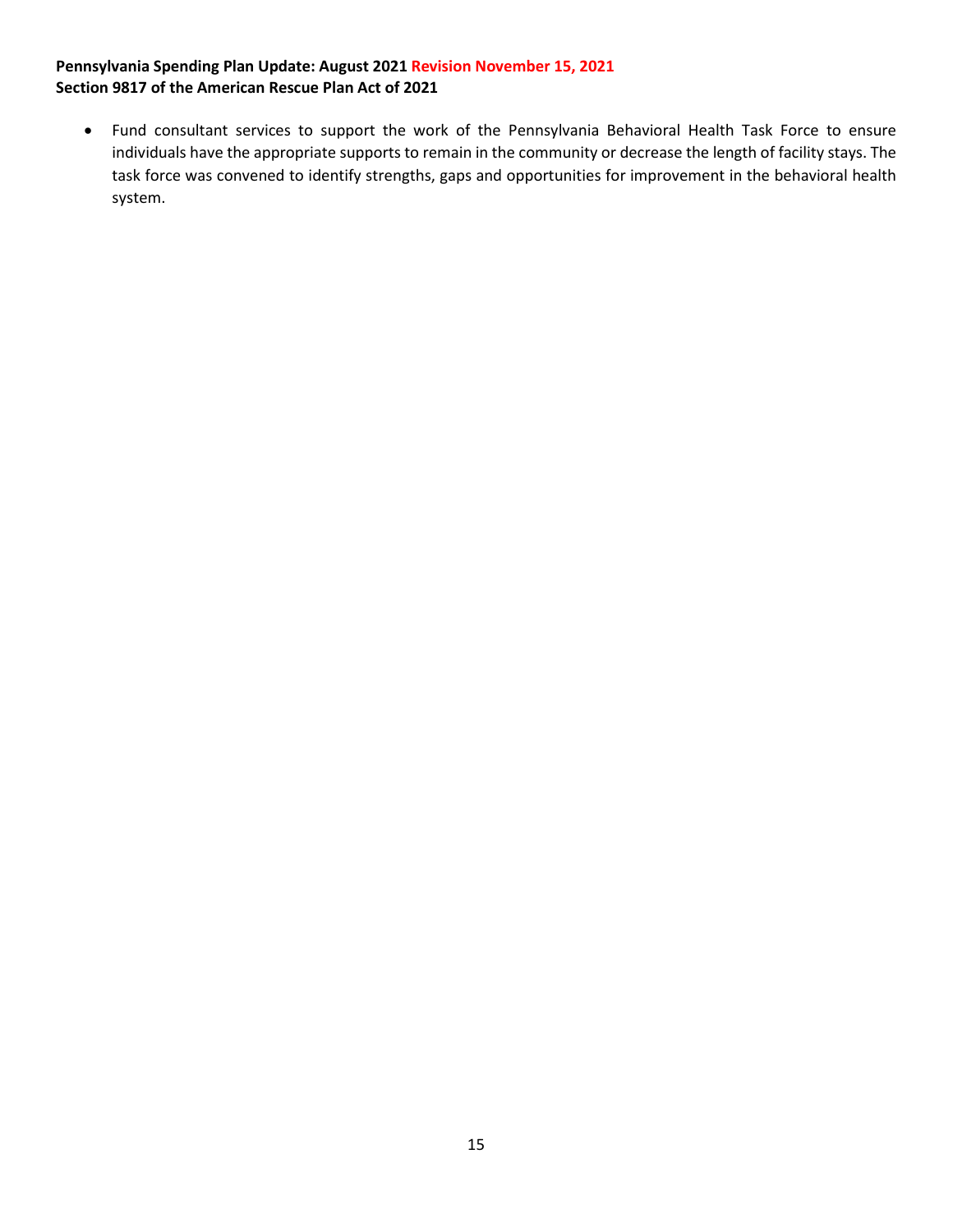<span id="page-14-0"></span>• Fund consultant services to support the work of the Pennsylvania Behavioral Health Task Force to ensure individuals have the appropriate supports to remain in the community or decrease the length of facility stays. The task force was convened to identify strengths, gaps and opportunities for improvement in the behavioral health system.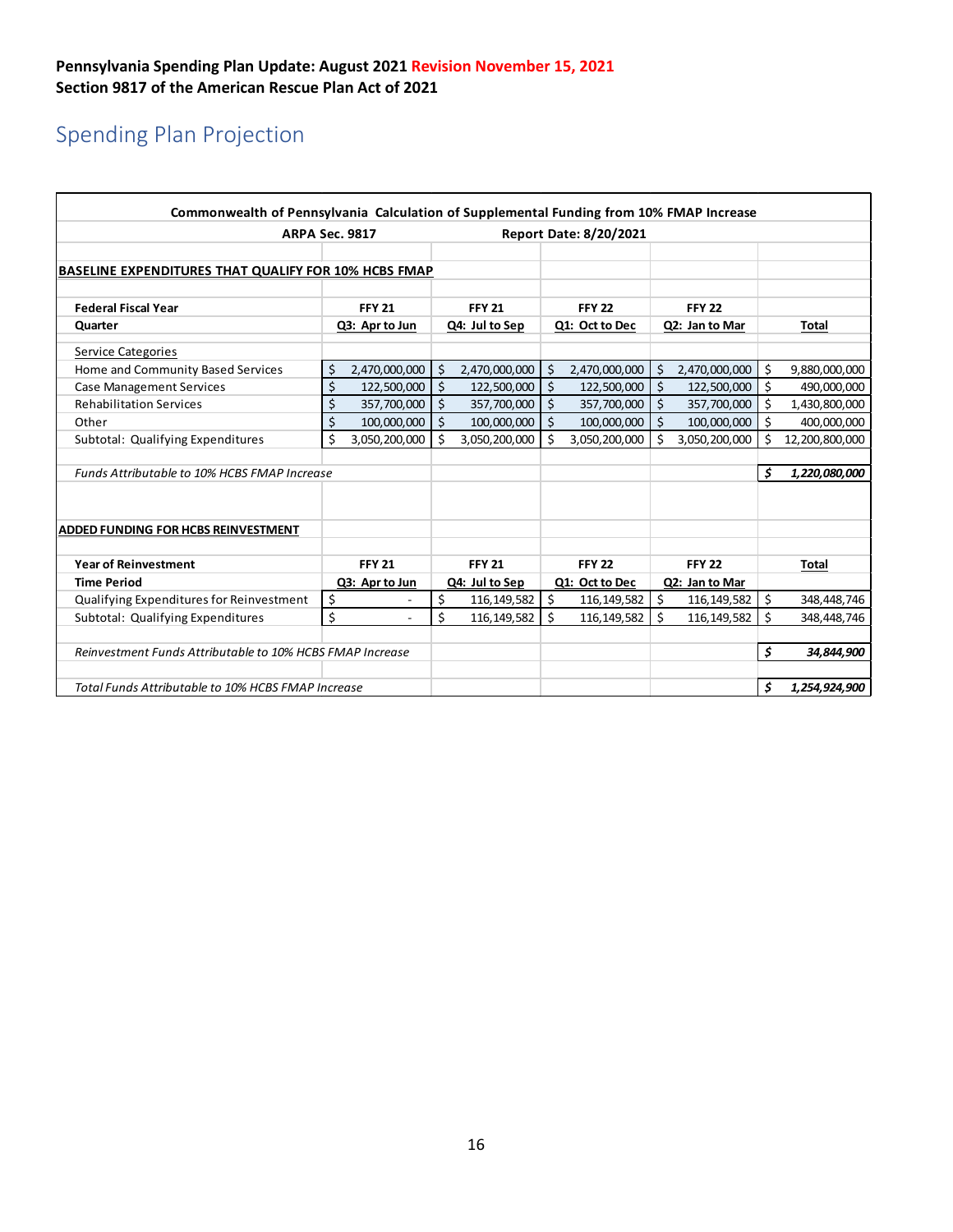# Spending Plan Projection

| Commonwealth of Pennsylvania Calculation of Supplemental Funding from 10% FMAP Increase |               |                |               |                |               |                               |                      |                |            |                |
|-----------------------------------------------------------------------------------------|---------------|----------------|---------------|----------------|---------------|-------------------------------|----------------------|----------------|------------|----------------|
| <b>ARPA Sec. 9817</b>                                                                   |               |                |               |                |               | <b>Report Date: 8/20/2021</b> |                      |                |            |                |
|                                                                                         |               |                |               |                |               |                               |                      |                |            |                |
| <b>BASELINE EXPENDITURES THAT QUALIFY FOR 10% HCBS FMAP</b>                             |               |                |               |                |               |                               |                      |                |            |                |
|                                                                                         |               |                |               |                |               |                               |                      |                |            |                |
| <b>Federal Fiscal Year</b>                                                              | <b>FFY 21</b> |                |               | <b>FFY 21</b>  |               | <b>FFY 22</b>                 | <b>FFY 22</b>        |                |            |                |
| Quarter                                                                                 |               | Q3: Apr to Jun |               | Q4: Jul to Sep |               | Q1: Oct to Dec                |                      | Q2: Jan to Mar |            | <b>Total</b>   |
| Service Categories                                                                      |               |                |               |                |               |                               |                      |                |            |                |
| Home and Community Based Services                                                       | \$            | 2,470,000,000  | \$            | 2,470,000,000  | \$            | 2,470,000,000                 | \$                   | 2,470,000,000  | \$         | 9,880,000,000  |
| <b>Case Management Services</b>                                                         | \$            | 122,500,000    | $\ddot{\phi}$ | 122,500,000    | $\frac{1}{2}$ | 122,500,000                   | $\boldsymbol{\zeta}$ | 122,500,000    | Ś          | 490,000,000    |
| <b>Rehabilitation Services</b>                                                          | Ś             | 357,700,000    | Ś.            | 357,700,000    | Ŝ.            | 357,700,000                   | $\mathsf{S}$         | 357,700,000    | Ś.         | 1,430,800,000  |
| Other                                                                                   | \$            | 100,000,000    | Ś.            | 100,000,000    | \$            | 100,000,000                   | $\zeta$              | 100,000,000    | Ś          | 400,000,000    |
| Subtotal: Qualifying Expenditures                                                       | \$            | 3,050,200,000  | Ś.            | 3,050,200,000  | Ŝ.            | 3,050,200,000                 | \$                   | 3,050,200,000  | Ś          | 12,200,800,000 |
|                                                                                         |               |                |               |                |               |                               |                      |                |            |                |
| Funds Attributable to 10% HCBS FMAP Increase                                            |               |                |               |                |               |                               |                      |                | Ś          | 1,220,080,000  |
|                                                                                         |               |                |               |                |               |                               |                      |                |            |                |
|                                                                                         |               |                |               |                |               |                               |                      |                |            |                |
| ADDED FUNDING FOR HCBS REINVESTMENT                                                     |               |                |               |                |               |                               |                      |                |            |                |
|                                                                                         |               |                |               |                |               |                               |                      |                |            |                |
| <b>Year of Reinvestment</b>                                                             |               | <b>FFY 21</b>  | <b>FFY 21</b> |                | <b>FFY 22</b> |                               | <b>FFY 22</b>        |                |            | Total          |
| <b>Time Period</b>                                                                      |               | Q3: Apr to Jun |               | Q4: Jul to Sep |               | Q1: Oct to Dec                |                      | Q2: Jan to Mar |            |                |
| Qualifying Expenditures for Reinvestment                                                | \$            |                | \$            | 116, 149, 582  | \$            | 116, 149, 582                 | \$                   | 116, 149, 582  | \$         | 348,448,746    |
| Subtotal: Qualifying Expenditures                                                       | \$            |                | Ś             | 116, 149, 582  | \$            | 116, 149, 582                 | \$                   | 116, 149, 582  | Ś          | 348,448,746    |
|                                                                                         |               |                |               |                |               |                               |                      |                |            |                |
| Reinvestment Funds Attributable to 10% HCBS FMAP Increase                               |               |                |               |                |               |                               |                      | \$             | 34,844,900 |                |
|                                                                                         |               |                |               |                |               |                               |                      |                |            |                |
| Total Funds Attributable to 10% HCBS FMAP Increase                                      |               |                |               |                |               |                               |                      |                | \$         | 1,254,924,900  |